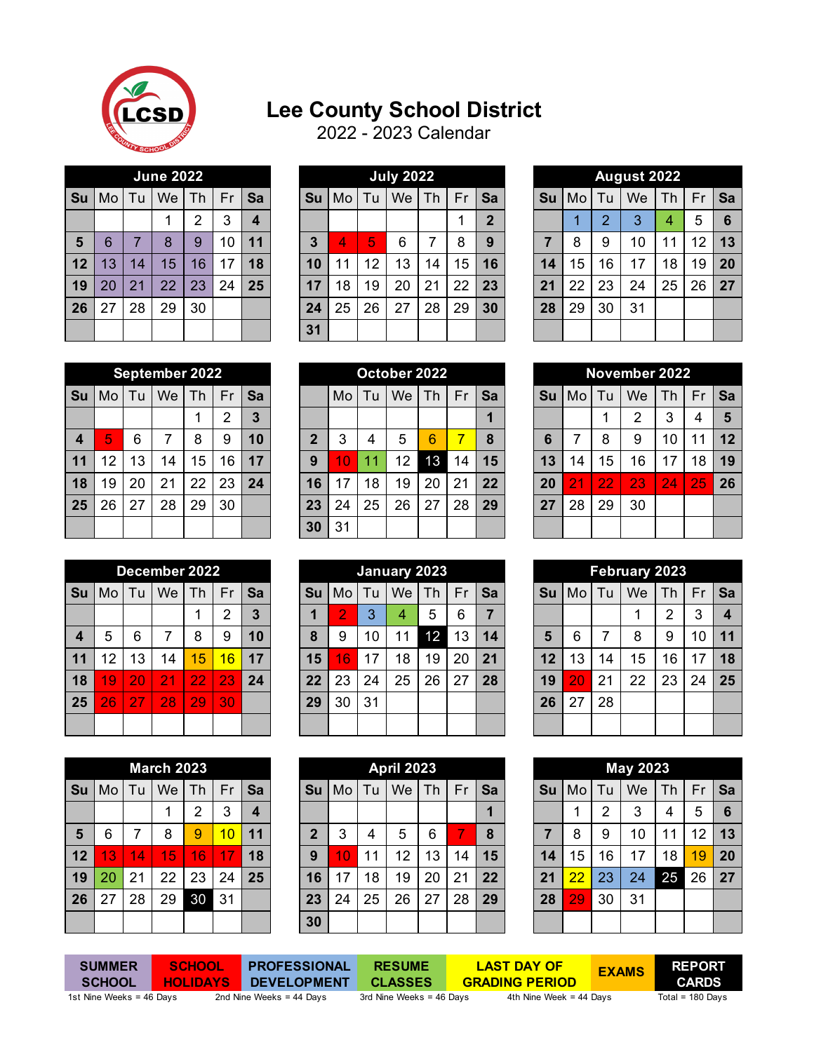

## **Lee County School District**

2022 - 2023 Calendar

|    |      |    | <b>June 2022</b> |                |    |    |
|----|------|----|------------------|----------------|----|----|
| Su | Mo l | Tu | Fr               | Sa             |    |    |
|    |      |    | 1                | $\overline{2}$ | 3  | 4  |
| 5  | 6    | 7  | 8                | 9              | 10 | 11 |
| 12 | 13   | 14 | 15               | 16             | 17 | 18 |
| 19 | 20   | 21 | 22               | 23             | 24 | 25 |
| 26 | 27   | 28 | 29               | 30             |    |    |
|    |      |    |                  |                |    |    |

|            |    |    | <b>June 2022</b> |           |    |                  |    |    |    | <b>July 2022</b> |    |    |    |           |    |    | August 2022 |    |    |    |
|------------|----|----|------------------|-----------|----|------------------|----|----|----|------------------|----|----|----|-----------|----|----|-------------|----|----|----|
| Su         | Mo | Tu | We               | <b>Th</b> | Fr | Sa               | Su | Mo | Tu | We               | Th | Fr | Sa | <b>Su</b> | Mo | Tu | We          | Th | Fr | Sa |
|            |    |    |                  | ◠         | 3  | $\boldsymbol{4}$ |    |    |    |                  |    |    | າ  |           |    | റ  | 3           | 4  | 5  | 6  |
| $\sqrt{5}$ | 6  |    | 8                | 9         | 10 | 11               | 3  | 4  | 5  | 6                | ⇁  | 8  | 9  |           | 8  | 9  | 10          | 11 | 12 | 13 |
| 12         | 13 | 14 | 15               | 16        | 17 | 18               | 10 | 11 | 12 | 13               | 14 | 15 | 16 | 14        | 15 | 16 | 17          | 18 | 19 | 20 |
| 19         | 20 | 21 | 22               | 23        | 24 | 25               | 17 | 18 | 19 | 20               | 21 | 22 | 23 | 21        | 22 | 23 | 24          | 25 | 26 | 27 |
| 26         | 27 | 28 | 29               | 30        |    |                  | 24 | 25 | 26 | 27               | 28 | 29 | 30 | 28        | 29 | 30 | 31          |    |    |    |
|            |    |    |                  |           |    |                  | 31 |    |    |                  |    |    |    |           |    |    |             |    |    |    |

|                |    |                | <b>August 2022</b> |    |    |    |
|----------------|----|----------------|--------------------|----|----|----|
| Su             | Mo | Tu             | We                 | Th | Fr | Sa |
|                | 1  | $\overline{2}$ | 3                  | 4  | 5  | 6  |
| $\overline{7}$ | 8  | 9              | 10                 | 11 | 12 | 13 |
| 14             | 15 | 16             | 17                 | 18 | 19 | 20 |
| 21             | 22 | 23             | 24                 | 25 | 26 | 27 |
| 28             | 29 | 30             | 31                 |    |    |    |
|                |    |                |                    |    |    |    |

|                  |    |    | September 2022 |    |    |    |    |    |    | October 2022 |    |    |    |                  |                |    | November 2022 |                 |    |                 |
|------------------|----|----|----------------|----|----|----|----|----|----|--------------|----|----|----|------------------|----------------|----|---------------|-----------------|----|-----------------|
| Su               | Mo | Tu | We             | Th | Fr | Sa |    | Mo | Tu | We           | Th | Fr | Sa | <b>Su</b>        | Mo             | Τu | We            | Th              | Fr | Sa              |
|                  |    |    |                |    | ⌒  | 3  |    |    |    |              |    |    |    |                  |                |    | ⌒             | 3               | 4  | 5               |
| $\boldsymbol{4}$ | 5, | 6  |                | 8  | 9  | 10 | ◠  | 3  |    | 5            | 6  |    | 8  | 6                | ⇁              | 8  | 9             | 10              | 11 | 12 <sup>°</sup> |
| 11               | 12 | 13 | 14             | 15 | 16 | 17 | 9  | 10 | и  | 12           | 13 | 14 | 15 | $\overline{13'}$ | 14             | 15 | 16            | 17              | 18 | 19              |
| 18               | 19 | 20 | 21             | 22 | 23 | 24 | 16 | 17 | 18 | 19           | 20 | 21 | 22 | 20               | $\overline{2}$ | 22 | 23            | $\overline{24}$ | 25 | 26              |
| 25               | 26 | 27 | 28             | 29 | 30 |    | 23 | 24 | 25 | 26           | 27 | 28 | 29 | 27               | 28             | 29 | 30            |                 |    |                 |
|                  |    |    |                |    |    |    | 30 | 31 |    |              |    |    |    |                  |                |    |               |                 |    |                 |

|                |    |                                                   | February 2023 |    |    |    |  |  |  |  |  |  |  |  |
|----------------|----|---------------------------------------------------|---------------|----|----|----|--|--|--|--|--|--|--|--|
| Su             | Mo | Fr<br>Tu<br>We<br>Th<br>Sa<br>$\overline{2}$<br>3 |               |    |    |    |  |  |  |  |  |  |  |  |
|                |    |                                                   |               |    |    | 4  |  |  |  |  |  |  |  |  |
| $5\phantom{1}$ | 6  | 7                                                 | 8             | 9  | 10 | 11 |  |  |  |  |  |  |  |  |
| 12             | 13 | 14                                                | 15            | 16 | 17 | 18 |  |  |  |  |  |  |  |  |
| 19             | 20 | 21                                                | 22            | 23 | 24 | 25 |  |  |  |  |  |  |  |  |
| 26             | 27 | 28                                                |               |    |    |    |  |  |  |  |  |  |  |  |
|                |    |                                                   |               |    |    |    |  |  |  |  |  |  |  |  |

|                |                            |                | <b>May 2023</b> |    |    |    |  |  |
|----------------|----------------------------|----------------|-----------------|----|----|----|--|--|
| Su             | Tu<br>Fr<br>Mo<br>Th<br>We |                |                 |    |    |    |  |  |
|                | 1                          | $\overline{2}$ | 3               | 4  | 5  | 6  |  |  |
| $\overline{7}$ | 8                          | 9              | 10              | 11 | 12 | 13 |  |  |
| 14             | 15                         | 16             | 17              | 18 | 19 | 20 |  |  |
| 21             | 22                         | 23             | 24              | 25 | 26 | 27 |  |  |
| 28             | 29                         | 30             | 31              |    |    |    |  |  |
|                |                            |                |                 |    |    |    |  |  |

|    |      |    | <b>September 2022</b> |    |    |                |
|----|------|----|-----------------------|----|----|----------------|
| Su | Mo l | Tu | We                    | Th | Fr | Sa             |
|    |      |    |                       | 1  | 2  | $\overline{3}$ |
| 4  | 5    | 6  | 7                     | 8  | 9  | 10             |
| 11 | 12   | 13 | 14                    | 15 | 16 | 17             |
| 18 | 19   | 20 | 21                    | 22 | 23 | 24             |
| 25 | 26   | 27 | 28                    | 29 | 30 |                |
|    |      |    |                       |    |    |                |

|    |    |    | December 2022 |    |    |                |
|----|----|----|---------------|----|----|----------------|
| Su | Mo | Tu | We            | Th | Fr | Sa             |
|    |    |    |               |    | 2  | $\overline{3}$ |
| 4  | 5  | 6  | 7             | 8  | 9  | 10             |
| 11 | 12 | 13 | 14            | 15 | 16 | 17             |
| 18 | 19 | 20 | 21            | 22 | 23 | 24             |
| 25 | 26 | 27 | 28            | 29 | 30 |                |
|    |    |    |               |    |    |                |

|                                        |    |    | <b>March 2023</b> |                |    |    |  |  |  |  |  |  |  |
|----------------------------------------|----|----|-------------------|----------------|----|----|--|--|--|--|--|--|--|
| Su<br>Tu<br>We<br>Fr<br>Mo<br>Th<br>Sa |    |    |                   |                |    |    |  |  |  |  |  |  |  |
|                                        |    |    |                   | $\overline{2}$ | 3  | 4  |  |  |  |  |  |  |  |
| $5\phantom{1}$                         | 6  | 7  | 8                 | 9              | 10 | 11 |  |  |  |  |  |  |  |
| 12                                     | 13 | 14 | 15                | 16             | 17 | 18 |  |  |  |  |  |  |  |
| 19                                     | 20 | 21 | 22                | 23             | 24 | 25 |  |  |  |  |  |  |  |
| 26                                     | 27 | 28 | 29                | 30             | 31 |    |  |  |  |  |  |  |  |
|                                        |    |    |                   |                |    |    |  |  |  |  |  |  |  |

**SCHOOL HOLIDAYS**

|                  |    |    | September 2022 |    |    |    |                |    |    | October 2022 |    |    |    |    |    | <b>Novembe</b> |    |
|------------------|----|----|----------------|----|----|----|----------------|----|----|--------------|----|----|----|----|----|----------------|----|
| Su               | Mo | Tu | We             | Th | Fr | Sa |                | Mo | Tu | We           | Th | Fr | Sa | Su | Mo | Tu             | We |
|                  |    |    |                | ◢  | ◠  | 3  |                |    |    |              |    |    | 1  |    |    | и              | 2  |
| $\boldsymbol{4}$ | 5  | 6  | 7              | 8  | 9  | 10 | $\overline{2}$ | 3  | 4  | 5            | 6  |    | 8  | 6  |    | 8              | 9  |
| 11               | 12 | 13 | 14             | 15 | 16 | 17 | 9              |    | 11 | 12           | 13 | 14 | 15 | 13 | 14 | 15             | 16 |
| 18               | 19 | 20 | 21             | 22 | 23 | 24 | 16             |    | 18 | 19           | 20 | 21 | 22 | 20 | ◥  | 22             | 23 |
| 25               | 26 | 27 | 28             | 29 | 30 |    | 23             | 24 | 25 | 26           | 27 | 28 | 29 | 27 | 28 | 29             | 30 |
|                  |    |    |                |    |    |    | 30             | 31 |    |              |    |    |    |    |    |                |    |

|                |    | December 2022<br>We<br>Fr<br>Sa<br>Τu<br>Th.<br>Mo<br>っ<br>3<br>5<br>6<br>8<br>9 |                |    |    |    |  |    |    |    | January 2023 |    |    |    |    |    |     | February 2023 |    |    |                |
|----------------|----|----------------------------------------------------------------------------------|----------------|----|----|----|--|----|----|----|--------------|----|----|----|----|----|-----|---------------|----|----|----------------|
| Su             |    |                                                                                  |                |    |    |    |  | Sυ | Mo | Tu | We           | Th | Fr | Sa | Su | Mo | τu. | We            | Th | Fr | Sa             |
|                |    |                                                                                  |                |    |    |    |  |    | 2  | 3  | 4            | 5  | 6  |    |    |    |     | А             | っ  | 3  | $\overline{4}$ |
| $\overline{4}$ |    |                                                                                  |                |    |    | 10 |  | 8  | 9  | 10 | 11           | 12 | 13 | 14 | 5  | 6  | ⇁   | 8             | 9  | 10 | 11             |
| 11             | 12 | 13                                                                               | 14             | 15 | 16 | 17 |  | 15 | 16 | 17 | 18           | 19 | 20 | 21 | 12 | 13 | 14  | 15            | 16 | 17 | 18             |
| 18             | 19 | 20                                                                               | 2 <sub>1</sub> | 22 | 23 | 24 |  | 22 | 23 | 24 | 25           | 26 | 27 | 28 | 19 | 20 | 21  | 22            | 23 | 24 | 25             |
| 25             | 26 | דל                                                                               | 28             | 29 | 30 |    |  | 29 | 30 | 31 |              |    |    |    | 26 | 27 | 28  |               |    |    |                |
|                |    |                                                                                  |                |    |    |    |  |    |    |    |              |    |    |    |    |    |     |               |    |    |                |

| Mo | Tu | We | Th | Fr                | Sa | Su | Mo | Tu | We | Th | Fr                | Sa | Su | Mo | Tu | We | Th | Fr              | Sa |
|----|----|----|----|-------------------|----|----|----|----|----|----|-------------------|----|----|----|----|----|----|-----------------|----|
|    |    |    | っ  | 3                 | 4  |    |    |    |    |    |                   |    |    |    | 2  | 3  | 4  | 5               | 6  |
| 6  |    | 8  | 9  | 10                | 11 | າ  | 3  | 4  | 5  | 6  |                   | 8  |    | 8  | 9  | 10 | 11 | 12              | 13 |
| 13 | 14 | 15 | 16 |                   | 18 | 9  | 10 | 11 | 12 | 13 | 14                | 15 | 14 | 15 | 16 | 17 | 18 | 19              | 20 |
| 20 | 21 | 22 | 23 | 24                | 25 | 16 | 17 | 18 | 19 | 20 | 21                | 22 | 21 | 22 | 23 | 24 | 25 | 26              | 27 |
| 27 | 28 | 29 | 30 | 31                |    | 23 | 24 | 25 | 26 | 27 | 28                | 29 | 28 | 29 | 30 | 31 |    |                 |    |
|    |    |    |    |                   |    | 30 |    |    |    |    |                   |    |    |    |    |    |    |                 |    |
|    |    |    |    | <b>March 2023</b> |    |    |    |    |    |    | <b>April 2023</b> |    |    |    |    |    |    | <b>May 2023</b> |    |

**RESUME** 

**SUMMER SCHOOL**

**CLASSES DEVELOPMENT**

**PROFESSIONAL** 

1st Nine Weeks = 46 Days 2nd Nine Weeks = 44 Days 3rd Nine Weeks = 46 Days 4th Nine Week = 44 Days Total = 180 Days **GRADING PERIOD**

**LAST DAY OF**

**CARDS**

 **EXAMS REPORT**